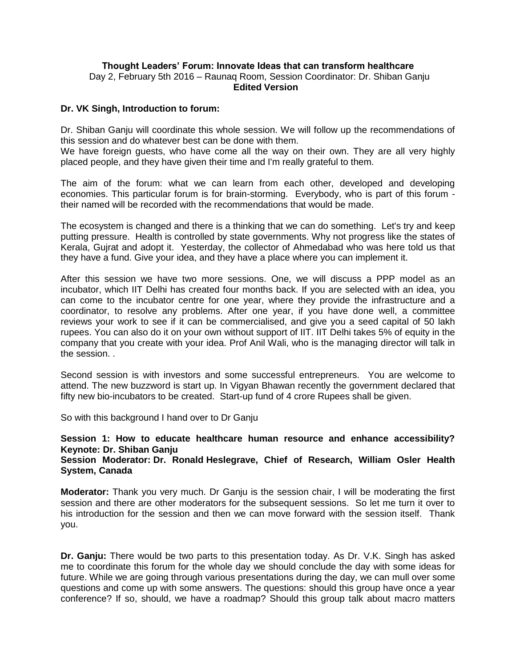# **Thought Leaders' Forum: Innovate Ideas that can transform healthcare** Day 2, February 5th 2016 – Raunaq Room, Session Coordinator: Dr. Shiban Ganju  **Edited Version**

#### **Dr. VK Singh, Introduction to forum:**

Dr. Shiban Ganju will coordinate this whole session. We will follow up the recommendations of this session and do whatever best can be done with them.

We have foreign guests, who have come all the way on their own. They are all very highly placed people, and they have given their time and I'm really grateful to them.

The aim of the forum: what we can learn from each other, developed and developing economies. This particular forum is for brain-storming. Everybody, who is part of this forum their named will be recorded with the recommendations that would be made.

The ecosystem is changed and there is a thinking that we can do something. Let's try and keep putting pressure. Health is controlled by state governments. Why not progress like the states of Kerala, Gujrat and adopt it. Yesterday, the collector of Ahmedabad who was here told us that they have a fund. Give your idea, and they have a place where you can implement it.

After this session we have two more sessions. One, we will discuss a PPP model as an incubator, which IIT Delhi has created four months back. If you are selected with an idea, you can come to the incubator centre for one year, where they provide the infrastructure and a coordinator, to resolve any problems. After one year, if you have done well, a committee reviews your work to see if it can be commercialised, and give you a seed capital of 50 lakh rupees. You can also do it on your own without support of IIT. IIT Delhi takes 5% of equity in the company that you create with your idea. Prof Anil Wali, who is the managing director will talk in the session. .

Second session is with investors and some successful entrepreneurs. You are welcome to attend. The new buzzword is start up. In Vigyan Bhawan recently the government declared that fifty new bio-incubators to be created. Start-up fund of 4 crore Rupees shall be given.

So with this background I hand over to Dr Ganju

# **Session 1: How to educate healthcare human resource and enhance accessibility? Keynote: Dr. Shiban Ganju**

**Session Moderator: Dr. Ronald [Heslegrave,](http://innovatiocuris.com/conference/2016/speakers/ronald-heslegrave/) Chief of Research, William Osler Health System, Canada**

**Moderator:** Thank you very much. Dr Ganju is the session chair, I will be moderating the first session and there are other moderators for the subsequent sessions. So let me turn it over to his introduction for the session and then we can move forward with the session itself. Thank you.

**Dr. Ganju:** There would be two parts to this presentation today. As Dr. V.K. Singh has asked me to coordinate this forum for the whole day we should conclude the day with some ideas for future. While we are going through various presentations during the day, we can mull over some questions and come up with some answers. The questions: should this group have once a year conference? If so, should, we have a roadmap? Should this group talk about macro matters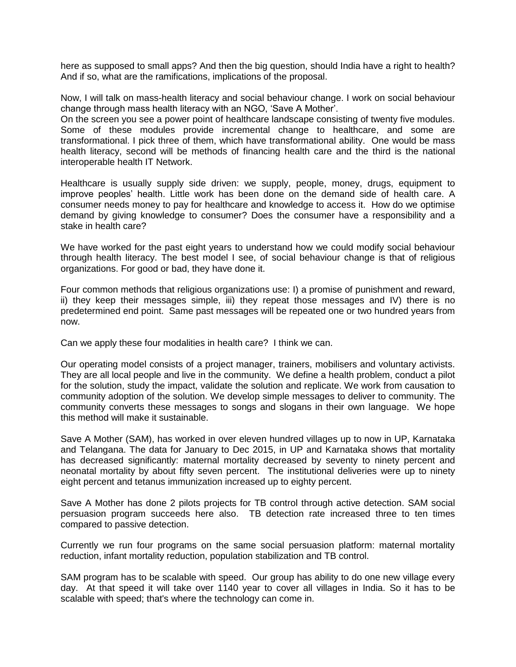here as supposed to small apps? And then the big question, should India have a right to health? And if so, what are the ramifications, implications of the proposal.

Now, I will talk on mass-health literacy and social behaviour change. I work on social behaviour change through mass health literacy with an NGO, 'Save A Mother'.

On the screen you see a power point of healthcare landscape consisting of twenty five modules. Some of these modules provide incremental change to healthcare, and some are transformational. I pick three of them, which have transformational ability. One would be mass health literacy, second will be methods of financing health care and the third is the national interoperable health IT Network.

Healthcare is usually supply side driven: we supply, people, money, drugs, equipment to improve peoples' health. Little work has been done on the demand side of health care. A consumer needs money to pay for healthcare and knowledge to access it. How do we optimise demand by giving knowledge to consumer? Does the consumer have a responsibility and a stake in health care?

We have worked for the past eight years to understand how we could modify social behaviour through health literacy. The best model I see, of social behaviour change is that of religious organizations. For good or bad, they have done it.

Four common methods that religious organizations use: I) a promise of punishment and reward, ii) they keep their messages simple, iii) they repeat those messages and IV) there is no predetermined end point. Same past messages will be repeated one or two hundred years from now.

Can we apply these four modalities in health care? I think we can.

Our operating model consists of a project manager, trainers, mobilisers and voluntary activists. They are all local people and live in the community. We define a health problem, conduct a pilot for the solution, study the impact, validate the solution and replicate. We work from causation to community adoption of the solution. We develop simple messages to deliver to community. The community converts these messages to songs and slogans in their own language. We hope this method will make it sustainable.

Save A Mother (SAM), has worked in over eleven hundred villages up to now in UP, Karnataka and Telangana. The data for January to Dec 2015, in UP and Karnataka shows that mortality has decreased significantly: maternal mortality decreased by seventy to ninety percent and neonatal mortality by about fifty seven percent. The institutional deliveries were up to ninety eight percent and tetanus immunization increased up to eighty percent.

Save A Mother has done 2 pilots projects for TB control through active detection. SAM social persuasion program succeeds here also. TB detection rate increased three to ten times compared to passive detection.

Currently we run four programs on the same social persuasion platform: maternal mortality reduction, infant mortality reduction, population stabilization and TB control.

SAM program has to be scalable with speed. Our group has ability to do one new village every day. At that speed it will take over 1140 year to cover all villages in India. So it has to be scalable with speed; that's where the technology can come in.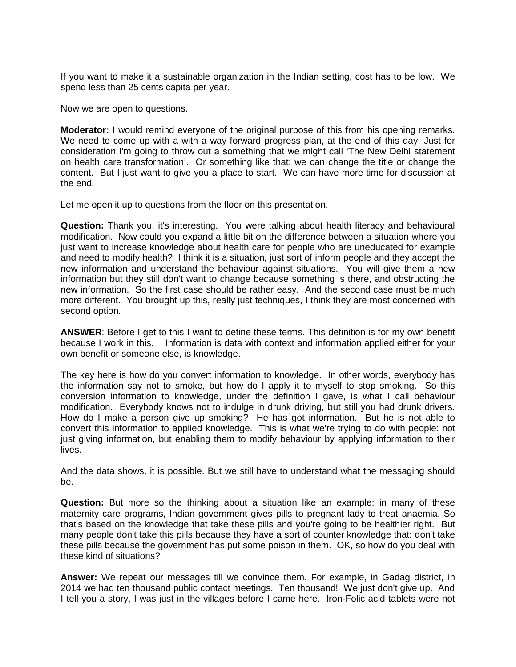If you want to make it a sustainable organization in the Indian setting, cost has to be low. We spend less than 25 cents capita per year.

Now we are open to questions.

**Moderator:** I would remind everyone of the original purpose of this from his opening remarks. We need to come up with a with a way forward progress plan, at the end of this day. Just for consideration I'm going to throw out a something that we might call 'The New Delhi statement on health care transformation'. Or something like that; we can change the title or change the content. But I just want to give you a place to start. We can have more time for discussion at the end.

Let me open it up to questions from the floor on this presentation.

**Question:** Thank you, it's interesting. You were talking about health literacy and behavioural modification. Now could you expand a little bit on the difference between a situation where you just want to increase knowledge about health care for people who are uneducated for example and need to modify health? I think it is a situation, just sort of inform people and they accept the new information and understand the behaviour against situations. You will give them a new information but they still don't want to change because something is there, and obstructing the new information. So the first case should be rather easy. And the second case must be much more different. You brought up this, really just techniques, I think they are most concerned with second option.

**ANSWER**: Before I get to this I want to define these terms. This definition is for my own benefit because I work in this. Information is data with context and information applied either for your own benefit or someone else, is knowledge.

The key here is how do you convert information to knowledge. In other words, everybody has the information say not to smoke, but how do I apply it to myself to stop smoking. So this conversion information to knowledge, under the definition I gave, is what I call behaviour modification. Everybody knows not to indulge in drunk driving, but still you had drunk drivers. How do I make a person give up smoking? He has got information. But he is not able to convert this information to applied knowledge. This is what we're trying to do with people: not just giving information, but enabling them to modify behaviour by applying information to their lives.

And the data shows, it is possible. But we still have to understand what the messaging should be.

**Question:** But more so the thinking about a situation like an example: in many of these maternity care programs, Indian government gives pills to pregnant lady to treat anaemia. So that's based on the knowledge that take these pills and you're going to be healthier right. But many people don't take this pills because they have a sort of counter knowledge that: don't take these pills because the government has put some poison in them. OK, so how do you deal with these kind of situations?

**Answer:** We repeat our messages till we convince them. For example, in Gadag district, in 2014 we had ten thousand public contact meetings. Ten thousand! We just don't give up. And I tell you a story, I was just in the villages before I came here. Iron-Folic acid tablets were not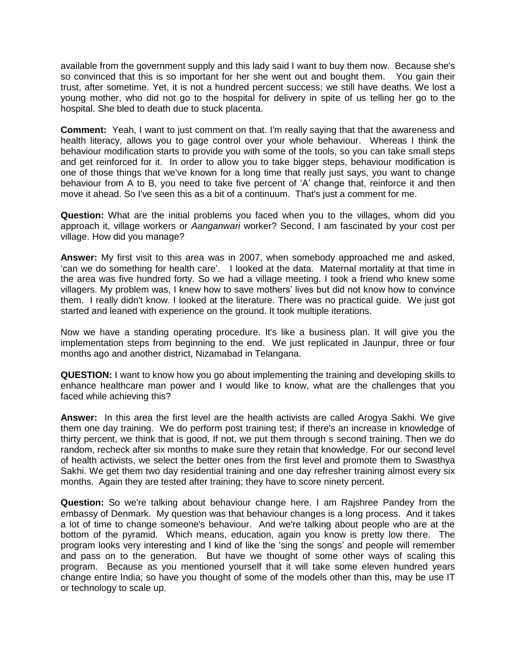available from the government supply and this lady said I want to buy them now. Because she's so convinced that this is so important for her she went out and bought them. You gain their trust, after sometime. Yet, it is not a hundred percent success; we still have deaths. We lost a young mother, who did not go to the hospital for delivery in spite of us telling her go to the hospital. She bled to death due to stuck placenta.

**Comment:** Yeah, I want to just comment on that. I'm really saying that that the awareness and health literacy, allows you to gage control over your whole behaviour. Whereas I think the behaviour modification starts to provide you with some of the tools, so you can take small steps and get reinforced for it. In order to allow you to take bigger steps, behaviour modification is one of those things that we've known for a long time that really just says, you want to change behaviour from A to B, you need to take five percent of 'A' change that, reinforce it and then move it ahead. So I've seen this as a bit of a continuum. That's just a comment for me.

**Question:** What are the initial problems you faced when you to the villages, whom did you approach it, village workers or *Aanganwari* worker? Second, I am fascinated by your cost per village. How did you manage?

**Answer:** My first visit to this area was in 2007, when somebody approached me and asked, 'can we do something for health care'. I looked at the data. Maternal mortality at that time in the area was five hundred forty. So we had a village meeting. I took a friend who knew some villagers. My problem was, I knew how to save mothers' lives but did not know how to convince them. I really didn't know. I looked at the literature. There was no practical guide. We just got started and leaned with experience on the ground. It took multiple iterations.

Now we have a standing operating procedure. It's like a business plan. It will give you the implementation steps from beginning to the end. We just replicated in Jaunpur, three or four months ago and another district, Nizamabad in Telangana.

**QUESTION:** I want to know how you go about implementing the training and developing skills to enhance healthcare man power and I would like to know, what are the challenges that you faced while achieving this?

**Answer:** In this area the first level are the health activists are called Arogya Sakhi. We give them one day training. We do perform post training test; if there's an increase in knowledge of thirty percent, we think that is good, If not, we put them through s second training. Then we do random, recheck after six months to make sure they retain that knowledge. For our second level of health activists, we select the better ones from the first level and promote them to Swasthya Sakhi. We get them two day residential training and one day refresher training almost every six months. Again they are tested after training; they have to score ninety percent.

**Question:** So we're talking about behaviour change here. I am Rajshree Pandey from the embassy of Denmark. My question was that behaviour changes is a long process. And it takes a lot of time to change someone's behaviour. And we're talking about people who are at the bottom of the pyramid. Which means, education, again you know is pretty low there. The program looks very interesting and I kind of like the 'sing the songs' and people will remember and pass on to the generation. But have we thought of some other ways of scaling this program. Because as you mentioned yourself that it will take some eleven hundred years change entire India; so have you thought of some of the models other than this, may be use IT or technology to scale up.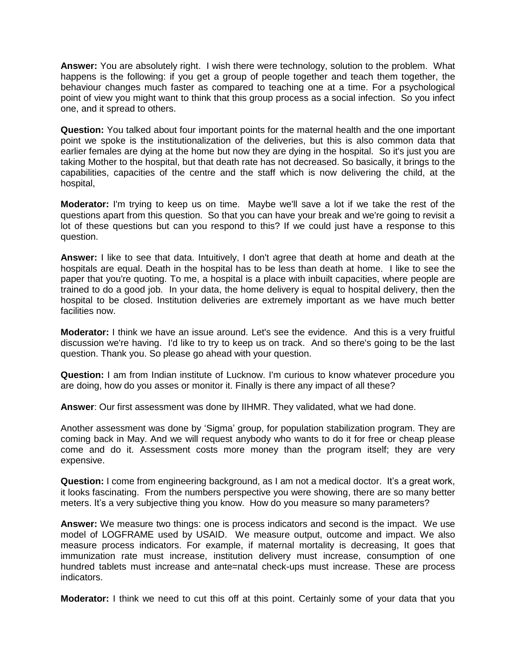**Answer:** You are absolutely right. I wish there were technology, solution to the problem. What happens is the following: if you get a group of people together and teach them together, the behaviour changes much faster as compared to teaching one at a time. For a psychological point of view you might want to think that this group process as a social infection. So you infect one, and it spread to others.

**Question:** You talked about four important points for the maternal health and the one important point we spoke is the institutionalization of the deliveries, but this is also common data that earlier females are dying at the home but now they are dying in the hospital. So it's just you are taking Mother to the hospital, but that death rate has not decreased. So basically, it brings to the capabilities, capacities of the centre and the staff which is now delivering the child, at the hospital,

**Moderator:** I'm trying to keep us on time. Maybe we'll save a lot if we take the rest of the questions apart from this question. So that you can have your break and we're going to revisit a lot of these questions but can you respond to this? If we could just have a response to this question.

**Answer:** I like to see that data. Intuitively, I don't agree that death at home and death at the hospitals are equal. Death in the hospital has to be less than death at home. I like to see the paper that you're quoting. To me, a hospital is a place with inbuilt capacities, where people are trained to do a good job. In your data, the home delivery is equal to hospital delivery, then the hospital to be closed. Institution deliveries are extremely important as we have much better facilities now.

**Moderator:** I think we have an issue around. Let's see the evidence. And this is a very fruitful discussion we're having. I'd like to try to keep us on track. And so there's going to be the last question. Thank you. So please go ahead with your question.

**Question:** I am from Indian institute of Lucknow. I'm curious to know whatever procedure you are doing, how do you asses or monitor it. Finally is there any impact of all these?

**Answer**: Our first assessment was done by IIHMR. They validated, what we had done.

Another assessment was done by 'Sigma' group, for population stabilization program. They are coming back in May. And we will request anybody who wants to do it for free or cheap please come and do it. Assessment costs more money than the program itself; they are very expensive.

**Question:** I come from engineering background, as I am not a medical doctor. It's a great work, it looks fascinating. From the numbers perspective you were showing, there are so many better meters. It's a very subjective thing you know. How do you measure so many parameters?

**Answer:** We measure two things: one is process indicators and second is the impact. We use model of LOGFRAME used by USAID. We measure output, outcome and impact. We also measure process indicators. For example, if maternal mortality is decreasing, It goes that immunization rate must increase, institution delivery must increase, consumption of one hundred tablets must increase and ante=natal check-ups must increase. These are process indicators.

**Moderator:** I think we need to cut this off at this point. Certainly some of your data that you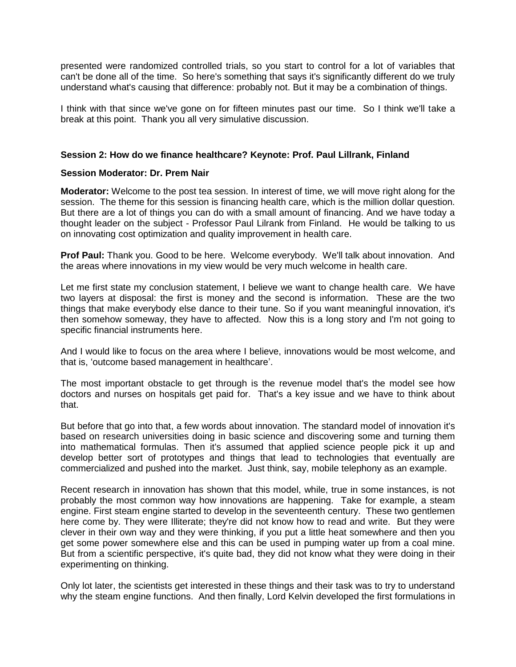presented were randomized controlled trials, so you start to control for a lot of variables that can't be done all of the time. So here's something that says it's significantly different do we truly understand what's causing that difference: probably not. But it may be a combination of things.

I think with that since we've gone on for fifteen minutes past our time. So I think we'll take a break at this point. Thank you all very simulative discussion.

# **Session 2: How do we finance healthcare? Keynote: [Prof. Paul Lillrank,](http://innovatiocuris.com/conference/2016/speakers/paul-lillrank/) Finland**

#### **Session Moderator: Dr. Prem Nair**

**Moderator:** Welcome to the post tea session. In interest of time, we will move right along for the session. The theme for this session is financing health care, which is the million dollar question. But there are a lot of things you can do with a small amount of financing. And we have today a thought leader on the subject - Professor Paul Lilrank from Finland. He would be talking to us on innovating cost optimization and quality improvement in health care.

**Prof Paul:** Thank you. Good to be here. Welcome everybody. We'll talk about innovation. And the areas where innovations in my view would be very much welcome in health care.

Let me first state my conclusion statement, I believe we want to change health care. We have two layers at disposal: the first is money and the second is information. These are the two things that make everybody else dance to their tune. So if you want meaningful innovation, it's then somehow someway, they have to affected. Now this is a long story and I'm not going to specific financial instruments here.

And I would like to focus on the area where I believe, innovations would be most welcome, and that is, 'outcome based management in healthcare'.

The most important obstacle to get through is the revenue model that's the model see how doctors and nurses on hospitals get paid for. That's a key issue and we have to think about that.

But before that go into that, a few words about innovation. The standard model of innovation it's based on research universities doing in basic science and discovering some and turning them into mathematical formulas. Then it's assumed that applied science people pick it up and develop better sort of prototypes and things that lead to technologies that eventually are commercialized and pushed into the market. Just think, say, mobile telephony as an example.

Recent research in innovation has shown that this model, while, true in some instances, is not probably the most common way how innovations are happening. Take for example, a steam engine. First steam engine started to develop in the seventeenth century. These two gentlemen here come by. They were Illiterate; they're did not know how to read and write. But they were clever in their own way and they were thinking, if you put a little heat somewhere and then you get some power somewhere else and this can be used in pumping water up from a coal mine. But from a scientific perspective, it's quite bad, they did not know what they were doing in their experimenting on thinking.

Only lot later, the scientists get interested in these things and their task was to try to understand why the steam engine functions. And then finally, Lord Kelvin developed the first formulations in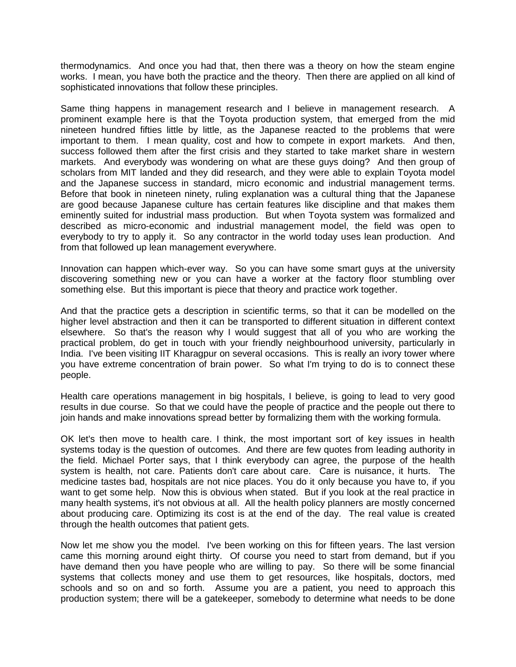thermodynamics. And once you had that, then there was a theory on how the steam engine works. I mean, you have both the practice and the theory. Then there are applied on all kind of sophisticated innovations that follow these principles.

Same thing happens in management research and I believe in management research. A prominent example here is that the Toyota production system, that emerged from the mid nineteen hundred fifties little by little, as the Japanese reacted to the problems that were important to them. I mean quality, cost and how to compete in export markets. And then, success followed them after the first crisis and they started to take market share in western markets. And everybody was wondering on what are these guys doing? And then group of scholars from MIT landed and they did research, and they were able to explain Toyota model and the Japanese success in standard, micro economic and industrial management terms. Before that book in nineteen ninety, ruling explanation was a cultural thing that the Japanese are good because Japanese culture has certain features like discipline and that makes them eminently suited for industrial mass production. But when Toyota system was formalized and described as micro-economic and industrial management model, the field was open to everybody to try to apply it. So any contractor in the world today uses lean production. And from that followed up lean management everywhere.

Innovation can happen which-ever way. So you can have some smart guys at the university discovering something new or you can have a worker at the factory floor stumbling over something else. But this important is piece that theory and practice work together.

And that the practice gets a description in scientific terms, so that it can be modelled on the higher level abstraction and then it can be transported to different situation in different context elsewhere. So that's the reason why I would suggest that all of you who are working the practical problem, do get in touch with your friendly neighbourhood university, particularly in India. I've been visiting IIT Kharagpur on several occasions. This is really an ivory tower where you have extreme concentration of brain power. So what I'm trying to do is to connect these people.

Health care operations management in big hospitals, I believe, is going to lead to very good results in due course. So that we could have the people of practice and the people out there to join hands and make innovations spread better by formalizing them with the working formula.

OK let's then move to health care. I think, the most important sort of key issues in health systems today is the question of outcomes. And there are few quotes from leading authority in the field. Michael Porter says, that I think everybody can agree, the purpose of the health system is health, not care. Patients don't care about care. Care is nuisance, it hurts. The medicine tastes bad, hospitals are not nice places. You do it only because you have to, if you want to get some help. Now this is obvious when stated. But if you look at the real practice in many health systems, it's not obvious at all. All the health policy planners are mostly concerned about producing care. Optimizing its cost is at the end of the day. The real value is created through the health outcomes that patient gets.

Now let me show you the model. I've been working on this for fifteen years. The last version came this morning around eight thirty. Of course you need to start from demand, but if you have demand then you have people who are willing to pay. So there will be some financial systems that collects money and use them to get resources, like hospitals, doctors, med schools and so on and so forth. Assume you are a patient, you need to approach this production system; there will be a gatekeeper, somebody to determine what needs to be done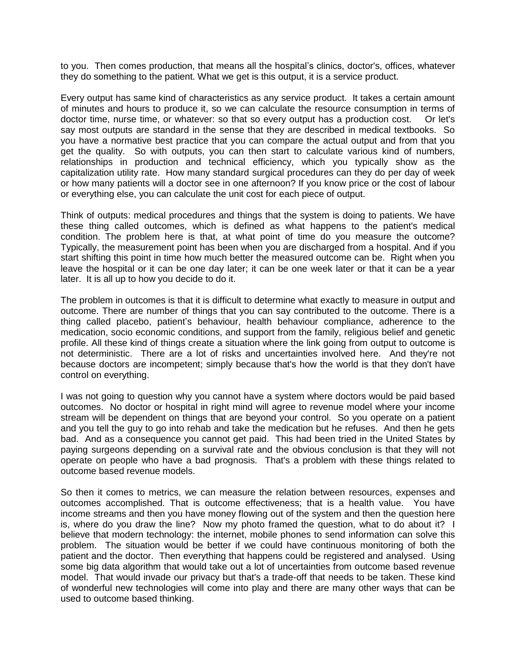to you. Then comes production, that means all the hospital's clinics, doctor's, offices, whatever they do something to the patient. What we get is this output, it is a service product.

Every output has same kind of characteristics as any service product. It takes a certain amount of minutes and hours to produce it, so we can calculate the resource consumption in terms of doctor time, nurse time, or whatever: so that so every output has a production cost. Or let's say most outputs are standard in the sense that they are described in medical textbooks. So you have a normative best practice that you can compare the actual output and from that you get the quality. So with outputs, you can then start to calculate various kind of numbers, relationships in production and technical efficiency, which you typically show as the capitalization utility rate. How many standard surgical procedures can they do per day of week or how many patients will a doctor see in one afternoon? If you know price or the cost of labour or everything else, you can calculate the unit cost for each piece of output.

Think of outputs: medical procedures and things that the system is doing to patients. We have these thing called outcomes, which is defined as what happens to the patient's medical condition. The problem here is that, at what point of time do you measure the outcome? Typically, the measurement point has been when you are discharged from a hospital. And if you start shifting this point in time how much better the measured outcome can be. Right when you leave the hospital or it can be one day later; it can be one week later or that it can be a year later. It is all up to how you decide to do it.

The problem in outcomes is that it is difficult to determine what exactly to measure in output and outcome. There are number of things that you can say contributed to the outcome. There is a thing called placebo, patient's behaviour, health behaviour compliance, adherence to the medication, socio economic conditions, and support from the family, religious belief and genetic profile. All these kind of things create a situation where the link going from output to outcome is not deterministic. There are a lot of risks and uncertainties involved here. And they're not because doctors are incompetent; simply because that's how the world is that they don't have control on everything.

I was not going to question why you cannot have a system where doctors would be paid based outcomes. No doctor or hospital in right mind will agree to revenue model where your income stream will be dependent on things that are beyond your control. So you operate on a patient and you tell the guy to go into rehab and take the medication but he refuses. And then he gets bad. And as a consequence you cannot get paid. This had been tried in the United States by paying surgeons depending on a survival rate and the obvious conclusion is that they will not operate on people who have a bad prognosis. That's a problem with these things related to outcome based revenue models.

So then it comes to metrics, we can measure the relation between resources, expenses and outcomes accomplished. That is outcome effectiveness; that is a health value. You have income streams and then you have money flowing out of the system and then the question here is, where do you draw the line? Now my photo framed the question, what to do about it? I believe that modern technology: the internet, mobile phones to send information can solve this problem. The situation would be better if we could have continuous monitoring of both the patient and the doctor. Then everything that happens could be registered and analysed. Using some big data algorithm that would take out a lot of uncertainties from outcome based revenue model. That would invade our privacy but that's a trade-off that needs to be taken. These kind of wonderful new technologies will come into play and there are many other ways that can be used to outcome based thinking.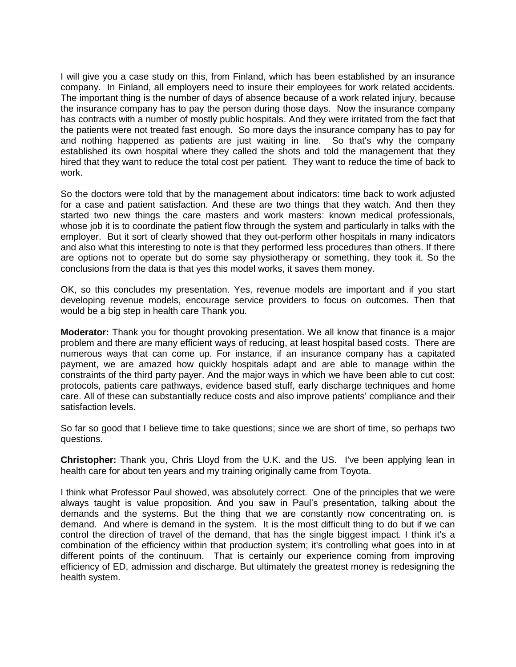I will give you a case study on this, from Finland, which has been established by an insurance company. In Finland, all employers need to insure their employees for work related accidents. The important thing is the number of days of absence because of a work related injury, because the insurance company has to pay the person during those days. Now the insurance company has contracts with a number of mostly public hospitals. And they were irritated from the fact that the patients were not treated fast enough. So more days the insurance company has to pay for and nothing happened as patients are just waiting in line. So that's why the company established its own hospital where they called the shots and told the management that they hired that they want to reduce the total cost per patient. They want to reduce the time of back to work.

So the doctors were told that by the management about indicators: time back to work adjusted for a case and patient satisfaction. And these are two things that they watch. And then they started two new things the care masters and work masters: known medical professionals, whose job it is to coordinate the patient flow through the system and particularly in talks with the employer. But it sort of clearly showed that they out-perform other hospitals in many indicators and also what this interesting to note is that they performed less procedures than others. If there are options not to operate but do some say physiotherapy or something, they took it. So the conclusions from the data is that yes this model works, it saves them money.

OK, so this concludes my presentation. Yes, revenue models are important and if you start developing revenue models, encourage service providers to focus on outcomes. Then that would be a big step in health care Thank you.

**Moderator:** Thank you for thought provoking presentation. We all know that finance is a major problem and there are many efficient ways of reducing, at least hospital based costs. There are numerous ways that can come up. For instance, if an insurance company has a capitated payment, we are amazed how quickly hospitals adapt and are able to manage within the constraints of the third party payer. And the major ways in which we have been able to cut cost: protocols, patients care pathways, evidence based stuff, early discharge techniques and home care. All of these can substantially reduce costs and also improve patients' compliance and their satisfaction levels.

So far so good that I believe time to take questions; since we are short of time, so perhaps two questions.

**Christopher:** Thank you, Chris Lloyd from the U.K. and the US. I've been applying lean in health care for about ten years and my training originally came from Toyota.

I think what Professor Paul showed, was absolutely correct. One of the principles that we were always taught is value proposition. And you saw in Paul's presentation, talking about the demands and the systems. But the thing that we are constantly now concentrating on, is demand. And where is demand in the system. It is the most difficult thing to do but if we can control the direction of travel of the demand, that has the single biggest impact. I think it's a combination of the efficiency within that production system; it's controlling what goes into in at different points of the continuum. That is certainly our experience coming from improving efficiency of ED, admission and discharge. But ultimately the greatest money is redesigning the health system.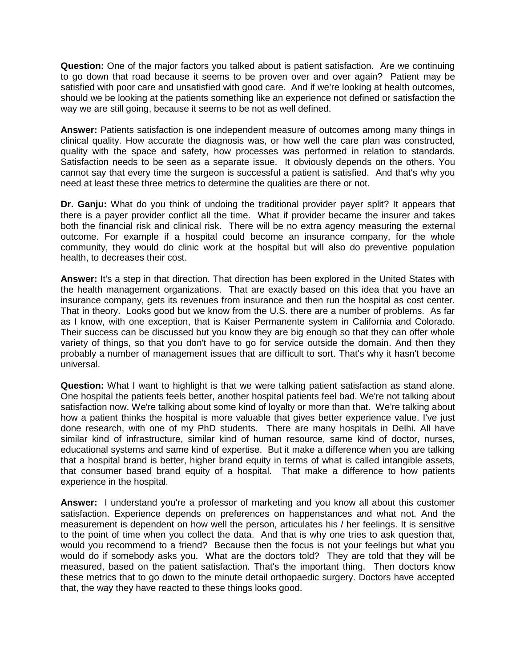**Question:** One of the major factors you talked about is patient satisfaction. Are we continuing to go down that road because it seems to be proven over and over again? Patient may be satisfied with poor care and unsatisfied with good care. And if we're looking at health outcomes, should we be looking at the patients something like an experience not defined or satisfaction the way we are still going, because it seems to be not as well defined.

**Answer:** Patients satisfaction is one independent measure of outcomes among many things in clinical quality. How accurate the diagnosis was, or how well the care plan was constructed, quality with the space and safety, how processes was performed in relation to standards. Satisfaction needs to be seen as a separate issue. It obviously depends on the others. You cannot say that every time the surgeon is successful a patient is satisfied. And that's why you need at least these three metrics to determine the qualities are there or not.

**Dr. Ganju:** What do you think of undoing the traditional provider payer split? It appears that there is a payer provider conflict all the time. What if provider became the insurer and takes both the financial risk and clinical risk. There will be no extra agency measuring the external outcome. For example if a hospital could become an insurance company, for the whole community, they would do clinic work at the hospital but will also do preventive population health, to decreases their cost.

**Answer:** It's a step in that direction. That direction has been explored in the United States with the health management organizations. That are exactly based on this idea that you have an insurance company, gets its revenues from insurance and then run the hospital as cost center. That in theory. Looks good but we know from the U.S. there are a number of problems. As far as I know, with one exception, that is Kaiser Permanente system in California and Colorado. Their success can be discussed but you know they are big enough so that they can offer whole variety of things, so that you don't have to go for service outside the domain. And then they probably a number of management issues that are difficult to sort. That's why it hasn't become universal.

**Question:** What I want to highlight is that we were talking patient satisfaction as stand alone. One hospital the patients feels better, another hospital patients feel bad. We're not talking about satisfaction now. We're talking about some kind of loyalty or more than that. We're talking about how a patient thinks the hospital is more valuable that gives better experience value. I've just done research, with one of my PhD students. There are many hospitals in Delhi. All have similar kind of infrastructure, similar kind of human resource, same kind of doctor, nurses, educational systems and same kind of expertise. But it make a difference when you are talking that a hospital brand is better, higher brand equity in terms of what is called intangible assets, that consumer based brand equity of a hospital. That make a difference to how patients experience in the hospital.

**Answer:** I understand you're a professor of marketing and you know all about this customer satisfaction. Experience depends on preferences on happenstances and what not. And the measurement is dependent on how well the person, articulates his / her feelings. It is sensitive to the point of time when you collect the data. And that is why one tries to ask question that, would you recommend to a friend? Because then the focus is not your feelings but what you would do if somebody asks you. What are the doctors told? They are told that they will be measured, based on the patient satisfaction. That's the important thing. Then doctors know these metrics that to go down to the minute detail orthopaedic surgery. Doctors have accepted that, the way they have reacted to these things looks good.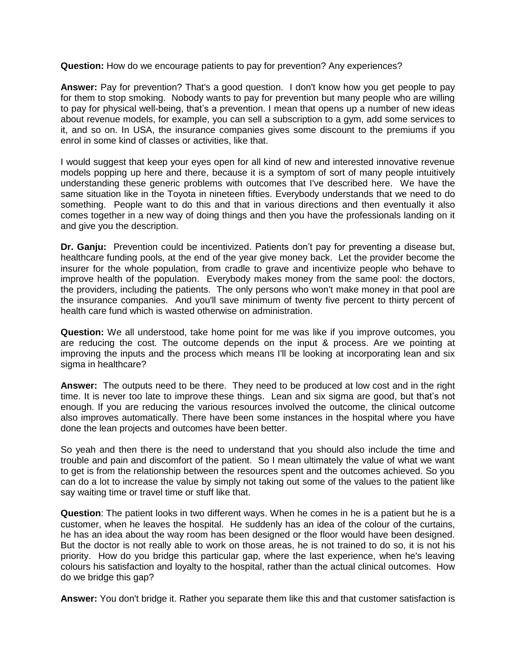**Question:** How do we encourage patients to pay for prevention? Any experiences?

**Answer:** Pay for prevention? That's a good question. I don't know how you get people to pay for them to stop smoking. Nobody wants to pay for prevention but many people who are willing to pay for physical well-being, that's a prevention. I mean that opens up a number of new ideas about revenue models, for example, you can sell a subscription to a gym, add some services to it, and so on. In USA, the insurance companies gives some discount to the premiums if you enrol in some kind of classes or activities, like that.

I would suggest that keep your eyes open for all kind of new and interested innovative revenue models popping up here and there, because it is a symptom of sort of many people intuitively understanding these generic problems with outcomes that I've described here. We have the same situation like in the Toyota in nineteen fifties. Everybody understands that we need to do something. People want to do this and that in various directions and then eventually it also comes together in a new way of doing things and then you have the professionals landing on it and give you the description.

**Dr. Ganju:** Prevention could be incentivized. Patients don't pay for preventing a disease but, healthcare funding pools, at the end of the year give money back. Let the provider become the insurer for the whole population, from cradle to grave and incentivize people who behave to improve health of the population. Everybody makes money from the same pool: the doctors, the providers, including the patients. The only persons who won't make money in that pool are the insurance companies. And you'll save minimum of twenty five percent to thirty percent of health care fund which is wasted otherwise on administration.

**Question:** We all understood, take home point for me was like if you improve outcomes, you are reducing the cost. The outcome depends on the input & process. Are we pointing at improving the inputs and the process which means I'll be looking at incorporating lean and six sigma in healthcare?

**Answer:** The outputs need to be there. They need to be produced at low cost and in the right time. It is never too late to improve these things. Lean and six sigma are good, but that's not enough. If you are reducing the various resources involved the outcome, the clinical outcome also improves automatically. There have been some instances in the hospital where you have done the lean projects and outcomes have been better.

So yeah and then there is the need to understand that you should also include the time and trouble and pain and discomfort of the patient. So I mean ultimately the value of what we want to get is from the relationship between the resources spent and the outcomes achieved. So you can do a lot to increase the value by simply not taking out some of the values to the patient like say waiting time or travel time or stuff like that.

**Question**: The patient looks in two different ways. When he comes in he is a patient but he is a customer, when he leaves the hospital. He suddenly has an idea of the colour of the curtains, he has an idea about the way room has been designed or the floor would have been designed. But the doctor is not really able to work on those areas, he is not trained to do so, it is not his priority. How do you bridge this particular gap, where the last experience, when he's leaving colours his satisfaction and loyalty to the hospital, rather than the actual clinical outcomes. How do we bridge this gap?

**Answer:** You don't bridge it. Rather you separate them like this and that customer satisfaction is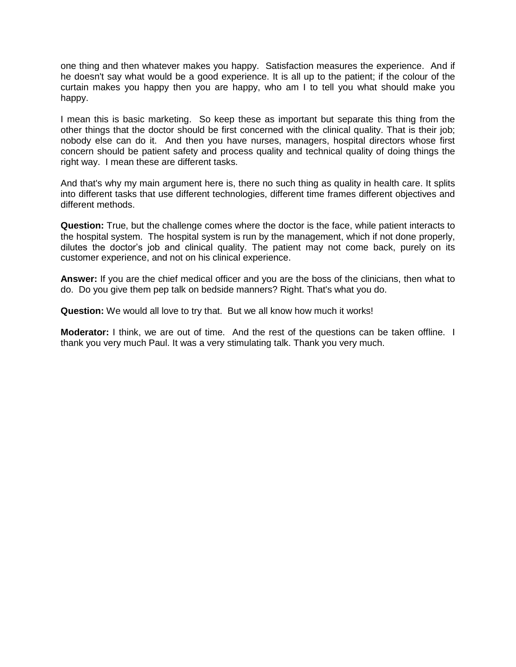one thing and then whatever makes you happy. Satisfaction measures the experience. And if he doesn't say what would be a good experience. It is all up to the patient; if the colour of the curtain makes you happy then you are happy, who am I to tell you what should make you happy.

I mean this is basic marketing. So keep these as important but separate this thing from the other things that the doctor should be first concerned with the clinical quality. That is their job; nobody else can do it. And then you have nurses, managers, hospital directors whose first concern should be patient safety and process quality and technical quality of doing things the right way. I mean these are different tasks.

And that's why my main argument here is, there no such thing as quality in health care. It splits into different tasks that use different technologies, different time frames different objectives and different methods.

**Question:** True, but the challenge comes where the doctor is the face, while patient interacts to the hospital system. The hospital system is run by the management, which if not done properly, dilutes the doctor's job and clinical quality. The patient may not come back, purely on its customer experience, and not on his clinical experience.

**Answer:** If you are the chief medical officer and you are the boss of the clinicians, then what to do. Do you give them pep talk on bedside manners? Right. That's what you do.

**Question:** We would all love to try that. But we all know how much it works!

**Moderator:** I think, we are out of time. And the rest of the questions can be taken offline. I thank you very much Paul. It was a very stimulating talk. Thank you very much.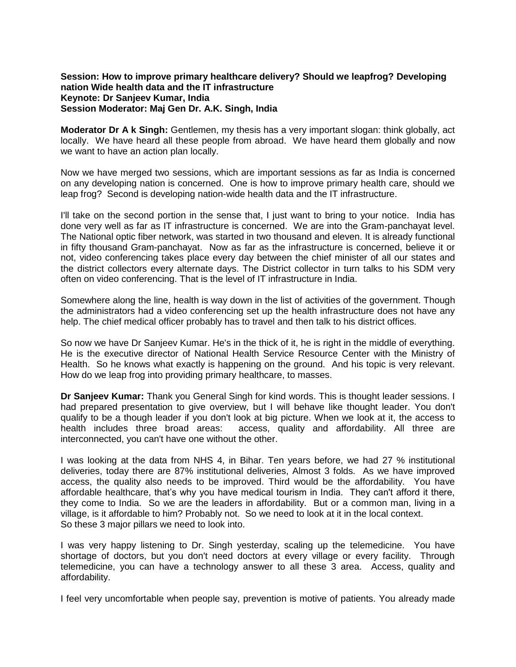# **Session: How to improve primary healthcare delivery? Should we leapfrog? Developing nation Wide health data and the IT infrastructure Keynote: Dr Sanjeev Kumar, India Session Moderator: Maj Gen Dr. A.K. Singh, India**

**Moderator Dr A k Singh:** Gentlemen, my thesis has a very important slogan: think globally, act locally. We have heard all these people from abroad. We have heard them globally and now we want to have an action plan locally.

Now we have merged two sessions, which are important sessions as far as India is concerned on any developing nation is concerned. One is how to improve primary health care, should we leap frog? Second is developing nation-wide health data and the IT infrastructure.

I'll take on the second portion in the sense that, I just want to bring to your notice. India has done very well as far as IT infrastructure is concerned. We are into the Gram-panchayat level. The National optic fiber network, was started in two thousand and eleven. It is already functional in fifty thousand Gram-panchayat. Now as far as the infrastructure is concerned, believe it or not, video conferencing takes place every day between the chief minister of all our states and the district collectors every alternate days. The District collector in turn talks to his SDM very often on video conferencing. That is the level of IT infrastructure in India.

Somewhere along the line, health is way down in the list of activities of the government. Though the administrators had a video conferencing set up the health infrastructure does not have any help. The chief medical officer probably has to travel and then talk to his district offices.

So now we have Dr Sanjeev Kumar. He's in the thick of it, he is right in the middle of everything. He is the executive director of National Health Service Resource Center with the Ministry of Health. So he knows what exactly is happening on the ground. And his topic is very relevant. How do we leap frog into providing primary healthcare, to masses.

**Dr Sanjeev Kumar:** Thank you General Singh for kind words. This is thought leader sessions. I had prepared presentation to give overview, but I will behave like thought leader. You don't qualify to be a though leader if you don't look at big picture. When we look at it, the access to health includes three broad areas: access, quality and affordability. All three are interconnected, you can't have one without the other.

I was looking at the data from NHS 4, in Bihar. Ten years before, we had 27 % institutional deliveries, today there are 87% institutional deliveries, Almost 3 folds. As we have improved access, the quality also needs to be improved. Third would be the affordability. You have affordable healthcare, that's why you have medical tourism in India. They can't afford it there, they come to India. So we are the leaders in affordability. But or a common man, living in a village, is it affordable to him? Probably not. So we need to look at it in the local context. So these 3 major pillars we need to look into.

I was very happy listening to Dr. Singh yesterday, scaling up the telemedicine. You have shortage of doctors, but you don't need doctors at every village or every facility. Through telemedicine, you can have a technology answer to all these 3 area. Access, quality and affordability.

I feel very uncomfortable when people say, prevention is motive of patients. You already made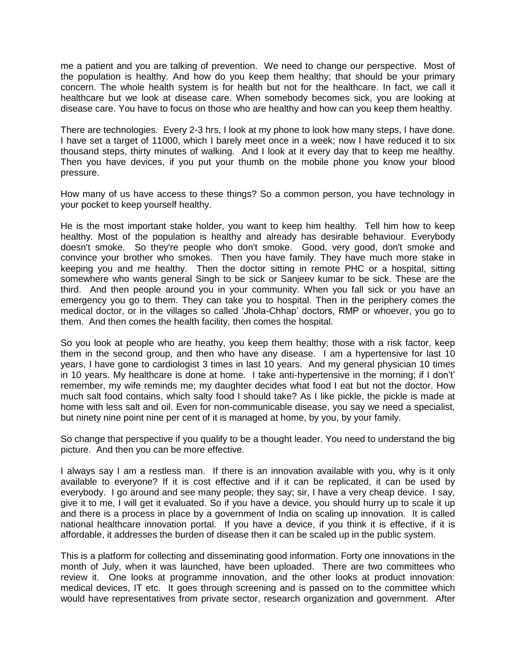me a patient and you are talking of prevention. We need to change our perspective. Most of the population is healthy. And how do you keep them healthy; that should be your primary concern. The whole health system is for health but not for the healthcare. In fact, we call it healthcare but we look at disease care. When somebody becomes sick, you are looking at disease care. You have to focus on those who are healthy and how can you keep them healthy.

There are technologies. Every 2-3 hrs, I look at my phone to look how many steps, I have done. I have set a target of 11000, which I barely meet once in a week; now I have reduced it to six thousand steps, thirty minutes of walking. And I look at it every day that to keep me healthy. Then you have devices, if you put your thumb on the mobile phone you know your blood pressure.

How many of us have access to these things? So a common person, you have technology in your pocket to keep yourself healthy.

He is the most important stake holder, you want to keep him healthy. Tell him how to keep healthy. Most of the population is healthy and already has desirable behaviour. Everybody doesn't smoke. So they're people who don't smoke. Good, very good, don't smoke and convince your brother who smokes. Then you have family. They have much more stake in keeping you and me healthy. Then the doctor sitting in remote PHC or a hospital, sitting somewhere who wants general Singh to be sick or Sanjeev kumar to be sick. These are the third. And then people around you in your community. When you fall sick or you have an emergency you go to them. They can take you to hospital. Then in the periphery comes the medical doctor, or in the villages so called 'Jhola-Chhap' doctors, RMP or whoever, you go to them. And then comes the health facility, then comes the hospital.

So you look at people who are heathy, you keep them healthy; those with a risk factor, keep them in the second group, and then who have any disease. I am a hypertensive for last 10 years, I have gone to cardiologist 3 times in last 10 years. And my general physician 10 times in 10 years. My healthcare is done at home. I take anti-hypertensive in the morning; if I don't' remember, my wife reminds me; my daughter decides what food I eat but not the doctor. How much salt food contains, which salty food I should take? As I like pickle, the pickle is made at home with less salt and oil. Even for non-communicable disease, you say we need a specialist, but ninety nine point nine per cent of it is managed at home, by you, by your family.

So change that perspective if you qualify to be a thought leader. You need to understand the big picture. And then you can be more effective.

I always say I am a restless man. If there is an innovation available with you, why is it only available to everyone? If it is cost effective and if it can be replicated, it can be used by everybody. I go around and see many people; they say; sir, I have a very cheap device. I say, give it to me, I will get it evaluated. So if you have a device, you should hurry up to scale it up and there is a process in place by a government of India on scaling up innovation. It is called national healthcare innovation portal. If you have a device, if you think it is effective, if it is affordable, it addresses the burden of disease then it can be scaled up in the public system.

This is a platform for collecting and disseminating good information. Forty one innovations in the month of July, when it was launched, have been uploaded. There are two committees who review it. One looks at programme innovation, and the other looks at product innovation: medical devices, IT etc. It goes through screening and is passed on to the committee which would have representatives from private sector, research organization and government. After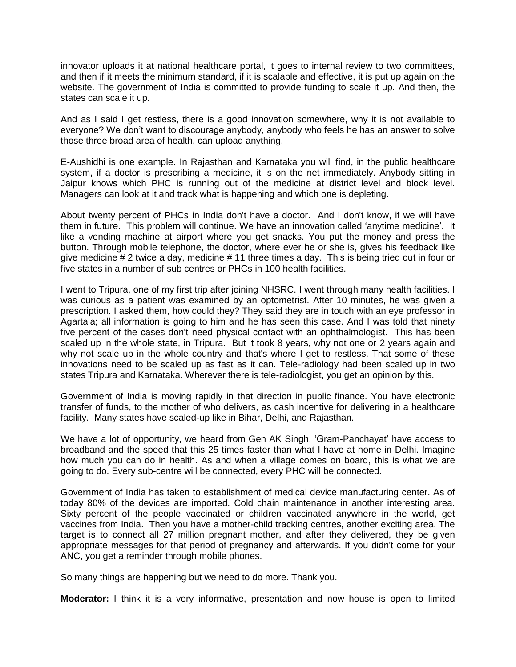innovator uploads it at national healthcare portal, it goes to internal review to two committees, and then if it meets the minimum standard, if it is scalable and effective, it is put up again on the website. The government of India is committed to provide funding to scale it up. And then, the states can scale it up.

And as I said I get restless, there is a good innovation somewhere, why it is not available to everyone? We don't want to discourage anybody, anybody who feels he has an answer to solve those three broad area of health, can upload anything.

E-Aushidhi is one example. In Rajasthan and Karnataka you will find, in the public healthcare system, if a doctor is prescribing a medicine, it is on the net immediately. Anybody sitting in Jaipur knows which PHC is running out of the medicine at district level and block level. Managers can look at it and track what is happening and which one is depleting.

About twenty percent of PHCs in India don't have a doctor. And I don't know, if we will have them in future. This problem will continue. We have an innovation called 'anytime medicine'. It like a vending machine at airport where you get snacks. You put the money and press the button. Through mobile telephone, the doctor, where ever he or she is, gives his feedback like give medicine # 2 twice a day, medicine # 11 three times a day. This is being tried out in four or five states in a number of sub centres or PHCs in 100 health facilities.

I went to Tripura, one of my first trip after joining NHSRC. I went through many health facilities. I was curious as a patient was examined by an optometrist. After 10 minutes, he was given a prescription. I asked them, how could they? They said they are in touch with an eye professor in Agartala; all information is going to him and he has seen this case. And I was told that ninety five percent of the cases don't need physical contact with an ophthalmologist. This has been scaled up in the whole state, in Tripura. But it took 8 years, why not one or 2 years again and why not scale up in the whole country and that's where I get to restless. That some of these innovations need to be scaled up as fast as it can. Tele-radiology had been scaled up in two states Tripura and Karnataka. Wherever there is tele-radiologist, you get an opinion by this.

Government of India is moving rapidly in that direction in public finance. You have electronic transfer of funds, to the mother of who delivers, as cash incentive for delivering in a healthcare facility. Many states have scaled-up like in Bihar, Delhi, and Rajasthan.

We have a lot of opportunity, we heard from Gen AK Singh, 'Gram-Panchayat' have access to broadband and the speed that this 25 times faster than what I have at home in Delhi. Imagine how much you can do in health. As and when a village comes on board, this is what we are going to do. Every sub-centre will be connected, every PHC will be connected.

Government of India has taken to establishment of medical device manufacturing center. As of today 80% of the devices are imported. Cold chain maintenance in another interesting area. Sixty percent of the people vaccinated or children vaccinated anywhere in the world, get vaccines from India. Then you have a mother-child tracking centres, another exciting area. The target is to connect all 27 million pregnant mother, and after they delivered, they be given appropriate messages for that period of pregnancy and afterwards. If you didn't come for your ANC, you get a reminder through mobile phones.

So many things are happening but we need to do more. Thank you.

**Moderator:** I think it is a very informative, presentation and now house is open to limited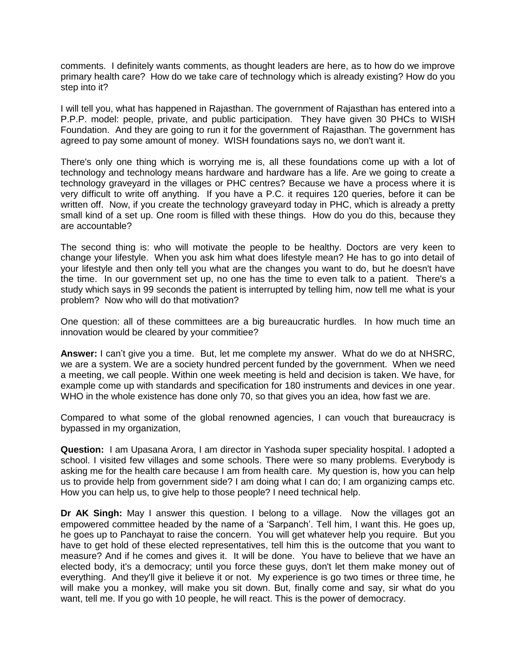comments. I definitely wants comments, as thought leaders are here, as to how do we improve primary health care? How do we take care of technology which is already existing? How do you step into it?

I will tell you, what has happened in Rajasthan. The government of Rajasthan has entered into a P.P.P. model: people, private, and public participation. They have given 30 PHCs to WISH Foundation. And they are going to run it for the government of Rajasthan. The government has agreed to pay some amount of money. WISH foundations says no, we don't want it.

There's only one thing which is worrying me is, all these foundations come up with a lot of technology and technology means hardware and hardware has a life. Are we going to create a technology graveyard in the villages or PHC centres? Because we have a process where it is very difficult to write off anything. If you have a P.C. it requires 120 queries, before it can be written off. Now, if you create the technology graveyard today in PHC, which is already a pretty small kind of a set up. One room is filled with these things. How do you do this, because they are accountable?

The second thing is: who will motivate the people to be healthy. Doctors are very keen to change your lifestyle. When you ask him what does lifestyle mean? He has to go into detail of your lifestyle and then only tell you what are the changes you want to do, but he doesn't have the time. In our government set up, no one has the time to even talk to a patient. There's a study which says in 99 seconds the patient is interrupted by telling him, now tell me what is your problem? Now who will do that motivation?

One question: all of these committees are a big bureaucratic hurdles. In how much time an innovation would be cleared by your commitiee?

**Answer:** I can't give you a time. But, let me complete my answer. What do we do at NHSRC, we are a system. We are a society hundred percent funded by the government. When we need a meeting, we call people. Within one week meeting is held and decision is taken. We have, for example come up with standards and specification for 180 instruments and devices in one year. WHO in the whole existence has done only 70, so that gives you an idea, how fast we are.

Compared to what some of the global renowned agencies, I can vouch that bureaucracy is bypassed in my organization,

**Question:** I am Upasana Arora, I am director in Yashoda super speciality hospital. I adopted a school. I visited few villages and some schools. There were so many problems. Everybody is asking me for the health care because I am from health care. My question is, how you can help us to provide help from government side? I am doing what I can do; I am organizing camps etc. How you can help us, to give help to those people? I need technical help.

**Dr AK Singh:** May I answer this question. I belong to a village. Now the villages got an empowered committee headed by the name of a 'Sarpanch'. Tell him, I want this. He goes up, he goes up to Panchayat to raise the concern. You will get whatever help you require. But you have to get hold of these elected representatives, tell him this is the outcome that you want to measure? And if he comes and gives it. It will be done. You have to believe that we have an elected body, it's a democracy; until you force these guys, don't let them make money out of everything. And they'll give it believe it or not. My experience is go two times or three time, he will make you a monkey, will make you sit down. But, finally come and say, sir what do you want, tell me. If you go with 10 people, he will react. This is the power of democracy.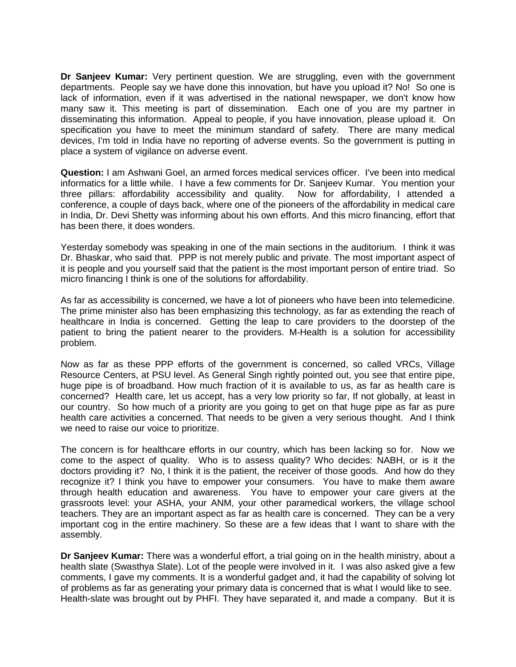**Dr Sanjeev Kumar:** Very pertinent question. We are struggling, even with the government departments. People say we have done this innovation, but have you upload it? No! So one is lack of information, even if it was advertised in the national newspaper, we don't know how many saw it. This meeting is part of dissemination. Each one of you are my partner in disseminating this information. Appeal to people, if you have innovation, please upload it. On specification you have to meet the minimum standard of safety. There are many medical devices, I'm told in India have no reporting of adverse events. So the government is putting in place a system of vigilance on adverse event.

**Question:** I am Ashwani Goel, an armed forces medical services officer. I've been into medical informatics for a little while. I have a few comments for Dr. Sanjeev Kumar. You mention your three pillars: affordability accessibility and quality. Now for affordability, I attended a conference, a couple of days back, where one of the pioneers of the affordability in medical care in India, Dr. Devi Shetty was informing about his own efforts. And this micro financing, effort that has been there, it does wonders.

Yesterday somebody was speaking in one of the main sections in the auditorium. I think it was Dr. Bhaskar, who said that. PPP is not merely public and private. The most important aspect of it is people and you yourself said that the patient is the most important person of entire triad. So micro financing I think is one of the solutions for affordability.

As far as accessibility is concerned, we have a lot of pioneers who have been into telemedicine. The prime minister also has been emphasizing this technology, as far as extending the reach of healthcare in India is concerned. Getting the leap to care providers to the doorstep of the patient to bring the patient nearer to the providers. M-Health is a solution for accessibility problem.

Now as far as these PPP efforts of the government is concerned, so called VRCs, Village Resource Centers, at PSU level. As General Singh rightly pointed out, you see that entire pipe, huge pipe is of broadband. How much fraction of it is available to us, as far as health care is concerned? Health care, let us accept, has a very low priority so far, If not globally, at least in our country. So how much of a priority are you going to get on that huge pipe as far as pure health care activities a concerned. That needs to be given a very serious thought. And I think we need to raise our voice to prioritize.

The concern is for healthcare efforts in our country, which has been lacking so for. Now we come to the aspect of quality. Who is to assess quality? Who decides: NABH, or is it the doctors providing it? No, I think it is the patient, the receiver of those goods. And how do they recognize it? I think you have to empower your consumers. You have to make them aware through health education and awareness. You have to empower your care givers at the grassroots level: your ASHA, your ANM, your other paramedical workers, the village school teachers. They are an important aspect as far as health care is concerned. They can be a very important cog in the entire machinery. So these are a few ideas that I want to share with the assembly.

**Dr Sanjeev Kumar:** There was a wonderful effort, a trial going on in the health ministry, about a health slate (Swasthya Slate). Lot of the people were involved in it. I was also asked give a few comments, I gave my comments. It is a wonderful gadget and, it had the capability of solving lot of problems as far as generating your primary data is concerned that is what I would like to see. Health-slate was brought out by PHFI. They have separated it, and made a company. But it is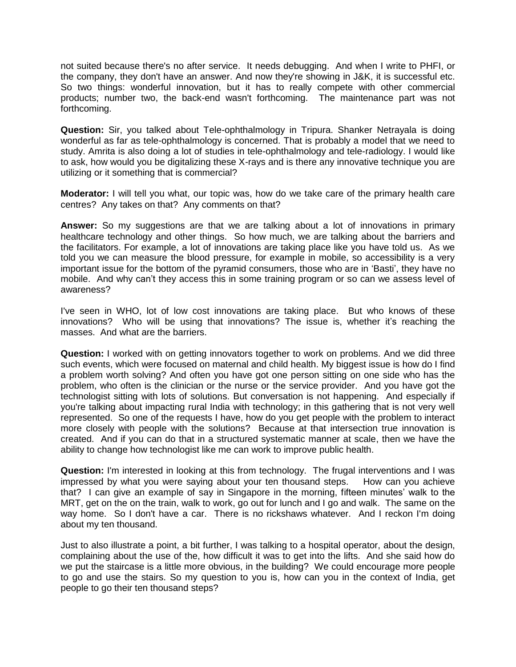not suited because there's no after service. It needs debugging. And when I write to PHFI, or the company, they don't have an answer. And now they're showing in J&K, it is successful etc. So two things: wonderful innovation, but it has to really compete with other commercial products; number two, the back-end wasn't forthcoming. The maintenance part was not forthcoming.

**Question:** Sir, you talked about Tele-ophthalmology in Tripura. Shanker Netrayala is doing wonderful as far as tele-ophthalmology is concerned. That is probably a model that we need to study. Amrita is also doing a lot of studies in tele-ophthalmology and tele-radiology. I would like to ask, how would you be digitalizing these X-rays and is there any innovative technique you are utilizing or it something that is commercial?

**Moderator:** I will tell you what, our topic was, how do we take care of the primary health care centres? Any takes on that? Any comments on that?

**Answer:** So my suggestions are that we are talking about a lot of innovations in primary healthcare technology and other things. So how much, we are talking about the barriers and the facilitators. For example, a lot of innovations are taking place like you have told us. As we told you we can measure the blood pressure, for example in mobile, so accessibility is a very important issue for the bottom of the pyramid consumers, those who are in 'Basti', they have no mobile. And why can't they access this in some training program or so can we assess level of awareness?

I've seen in WHO, lot of low cost innovations are taking place. But who knows of these innovations? Who will be using that innovations? The issue is, whether it's reaching the masses. And what are the barriers.

**Question:** I worked with on getting innovators together to work on problems. And we did three such events, which were focused on maternal and child health. My biggest issue is how do I find a problem worth solving? And often you have got one person sitting on one side who has the problem, who often is the clinician or the nurse or the service provider. And you have got the technologist sitting with lots of solutions. But conversation is not happening. And especially if you're talking about impacting rural India with technology; in this gathering that is not very well represented. So one of the requests I have, how do you get people with the problem to interact more closely with people with the solutions? Because at that intersection true innovation is created. And if you can do that in a structured systematic manner at scale, then we have the ability to change how technologist like me can work to improve public health.

**Question:** I'm interested in looking at this from technology. The frugal interventions and I was impressed by what you were saying about your ten thousand steps. How can you achieve that? I can give an example of say in Singapore in the morning, fifteen minutes' walk to the MRT, get on the on the train, walk to work, go out for lunch and I go and walk. The same on the way home. So I don't have a car. There is no rickshaws whatever. And I reckon I'm doing about my ten thousand.

Just to also illustrate a point, a bit further, I was talking to a hospital operator, about the design, complaining about the use of the, how difficult it was to get into the lifts. And she said how do we put the staircase is a little more obvious, in the building? We could encourage more people to go and use the stairs. So my question to you is, how can you in the context of India, get people to go their ten thousand steps?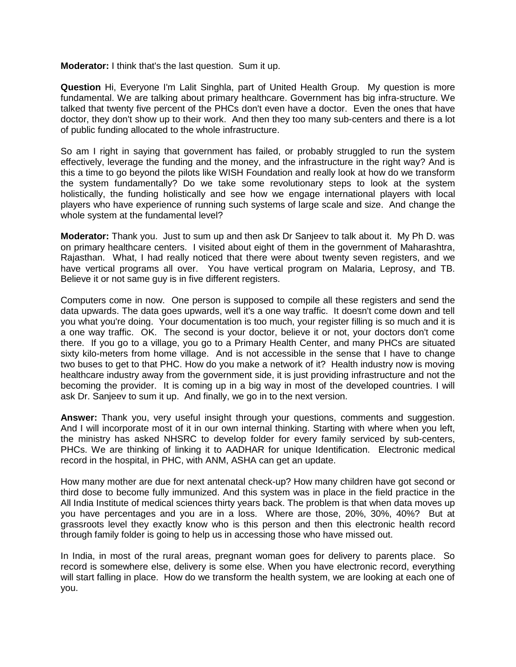**Moderator:** I think that's the last question. Sum it up.

**Question** Hi, Everyone I'm Lalit Singhla, part of United Health Group. My question is more fundamental. We are talking about primary healthcare. Government has big infra-structure. We talked that twenty five percent of the PHCs don't even have a doctor. Even the ones that have doctor, they don't show up to their work. And then they too many sub-centers and there is a lot of public funding allocated to the whole infrastructure.

So am I right in saying that government has failed, or probably struggled to run the system effectively, leverage the funding and the money, and the infrastructure in the right way? And is this a time to go beyond the pilots like WISH Foundation and really look at how do we transform the system fundamentally? Do we take some revolutionary steps to look at the system holistically, the funding holistically and see how we engage international players with local players who have experience of running such systems of large scale and size. And change the whole system at the fundamental level?

**Moderator:** Thank you. Just to sum up and then ask Dr Sanjeev to talk about it. My Ph D. was on primary healthcare centers. I visited about eight of them in the government of Maharashtra, Rajasthan. What, I had really noticed that there were about twenty seven registers, and we have vertical programs all over. You have vertical program on Malaria, Leprosy, and TB. Believe it or not same guy is in five different registers.

Computers come in now. One person is supposed to compile all these registers and send the data upwards. The data goes upwards, well it's a one way traffic. It doesn't come down and tell you what you're doing. Your documentation is too much, your register filling is so much and it is a one way traffic. OK. The second is your doctor, believe it or not, your doctors don't come there. If you go to a village, you go to a Primary Health Center, and many PHCs are situated sixty kilo-meters from home village. And is not accessible in the sense that I have to change two buses to get to that PHC. How do you make a network of it? Health industry now is moving healthcare industry away from the government side, it is just providing infrastructure and not the becoming the provider. It is coming up in a big way in most of the developed countries. I will ask Dr. Sanjeev to sum it up. And finally, we go in to the next version.

**Answer:** Thank you, very useful insight through your questions, comments and suggestion. And I will incorporate most of it in our own internal thinking. Starting with where when you left, the ministry has asked NHSRC to develop folder for every family serviced by sub-centers, PHCs. We are thinking of linking it to AADHAR for unique Identification. Electronic medical record in the hospital, in PHC, with ANM, ASHA can get an update.

How many mother are due for next antenatal check-up? How many children have got second or third dose to become fully immunized. And this system was in place in the field practice in the All India Institute of medical sciences thirty years back. The problem is that when data moves up you have percentages and you are in a loss. Where are those, 20%, 30%, 40%? But at grassroots level they exactly know who is this person and then this electronic health record through family folder is going to help us in accessing those who have missed out.

In India, in most of the rural areas, pregnant woman goes for delivery to parents place. So record is somewhere else, delivery is some else. When you have electronic record, everything will start falling in place. How do we transform the health system, we are looking at each one of you.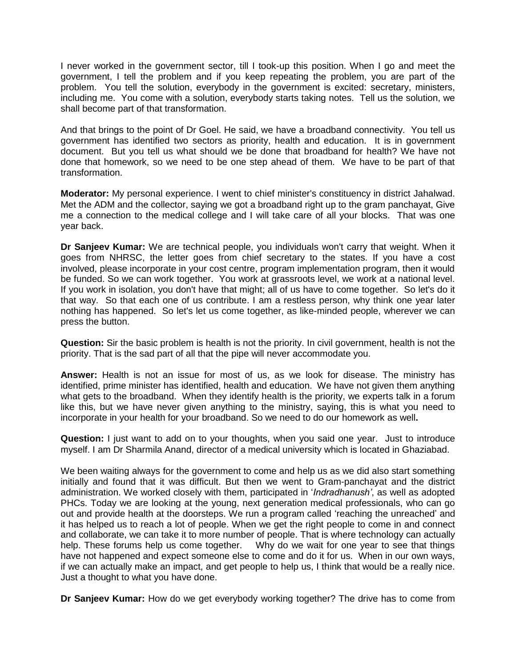I never worked in the government sector, till I took-up this position. When I go and meet the government, I tell the problem and if you keep repeating the problem, you are part of the problem. You tell the solution, everybody in the government is excited: secretary, ministers, including me. You come with a solution, everybody starts taking notes. Tell us the solution, we shall become part of that transformation.

And that brings to the point of Dr Goel. He said, we have a broadband connectivity. You tell us government has identified two sectors as priority, health and education. It is in government document. But you tell us what should we be done that broadband for health? We have not done that homework, so we need to be one step ahead of them. We have to be part of that transformation.

**Moderator:** My personal experience. I went to chief minister's constituency in district Jahalwad. Met the ADM and the collector, saying we got a broadband right up to the gram panchayat, Give me a connection to the medical college and I will take care of all your blocks. That was one year back.

**Dr Sanjeev Kumar:** We are technical people, you individuals won't carry that weight. When it goes from NHRSC, the letter goes from chief secretary to the states. If you have a cost involved, please incorporate in your cost centre, program implementation program, then it would be funded. So we can work together. You work at grassroots level, we work at a national level. If you work in isolation, you don't have that might; all of us have to come together. So let's do it that way. So that each one of us contribute. I am a restless person, why think one year later nothing has happened. So let's let us come together, as like-minded people, wherever we can press the button.

**Question:** Sir the basic problem is health is not the priority. In civil government, health is not the priority. That is the sad part of all that the pipe will never accommodate you.

**Answer:** Health is not an issue for most of us, as we look for disease. The ministry has identified, prime minister has identified, health and education. We have not given them anything what gets to the broadband. When they identify health is the priority, we experts talk in a forum like this, but we have never given anything to the ministry, saying, this is what you need to incorporate in your health for your broadband. So we need to do our homework as well**.** 

**Question:** I just want to add on to your thoughts, when you said one year. Just to introduce myself. I am Dr Sharmila Anand, director of a medical university which is located in Ghaziabad.

We been waiting always for the government to come and help us as we did also start something initially and found that it was difficult. But then we went to Gram-panchayat and the district administration. We worked closely with them, participated in '*Indradhanush'*, as well as adopted PHCs. Today we are looking at the young, next generation medical professionals, who can go out and provide health at the doorsteps. We run a program called 'reaching the unreached' and it has helped us to reach a lot of people. When we get the right people to come in and connect and collaborate, we can take it to more number of people. That is where technology can actually help. These forums help us come together. Why do we wait for one year to see that things have not happened and expect someone else to come and do it for us. When in our own ways, if we can actually make an impact, and get people to help us, I think that would be a really nice. Just a thought to what you have done.

**Dr Sanjeev Kumar:** How do we get everybody working together? The drive has to come from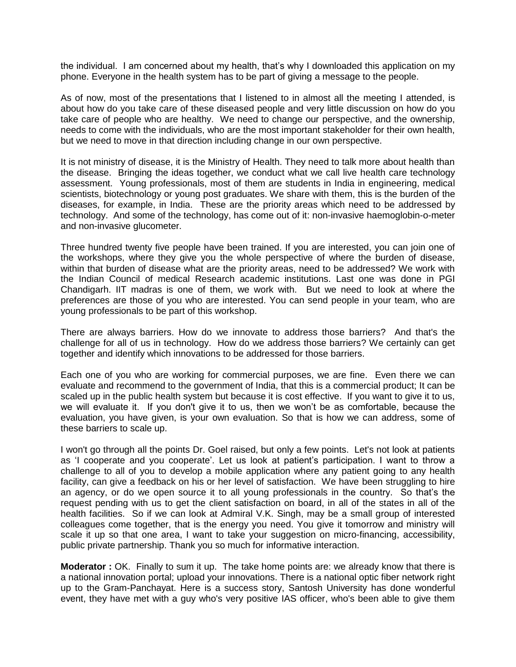the individual. I am concerned about my health, that's why I downloaded this application on my phone. Everyone in the health system has to be part of giving a message to the people.

As of now, most of the presentations that I listened to in almost all the meeting I attended, is about how do you take care of these diseased people and very little discussion on how do vou take care of people who are healthy. We need to change our perspective, and the ownership, needs to come with the individuals, who are the most important stakeholder for their own health, but we need to move in that direction including change in our own perspective.

It is not ministry of disease, it is the Ministry of Health. They need to talk more about health than the disease. Bringing the ideas together, we conduct what we call live health care technology assessment. Young professionals, most of them are students in India in engineering, medical scientists, biotechnology or young post graduates. We share with them, this is the burden of the diseases, for example, in India. These are the priority areas which need to be addressed by technology. And some of the technology, has come out of it: non-invasive haemoglobin-o-meter and non-invasive glucometer.

Three hundred twenty five people have been trained. If you are interested, you can join one of the workshops, where they give you the whole perspective of where the burden of disease, within that burden of disease what are the priority areas, need to be addressed? We work with the Indian Council of medical Research academic institutions. Last one was done in PGI Chandigarh. IIT madras is one of them, we work with. But we need to look at where the preferences are those of you who are interested. You can send people in your team, who are young professionals to be part of this workshop.

There are always barriers. How do we innovate to address those barriers? And that's the challenge for all of us in technology. How do we address those barriers? We certainly can get together and identify which innovations to be addressed for those barriers.

Each one of you who are working for commercial purposes, we are fine. Even there we can evaluate and recommend to the government of India, that this is a commercial product; It can be scaled up in the public health system but because it is cost effective. If you want to give it to us, we will evaluate it. If you don't give it to us, then we won't be as comfortable, because the evaluation, you have given, is your own evaluation. So that is how we can address, some of these barriers to scale up.

I won't go through all the points Dr. Goel raised, but only a few points. Let's not look at patients as 'I cooperate and you cooperate'. Let us look at patient's participation. I want to throw a challenge to all of you to develop a mobile application where any patient going to any health facility, can give a feedback on his or her level of satisfaction. We have been struggling to hire an agency, or do we open source it to all young professionals in the country. So that's the request pending with us to get the client satisfaction on board, in all of the states in all of the health facilities. So if we can look at Admiral V.K. Singh, may be a small group of interested colleagues come together, that is the energy you need. You give it tomorrow and ministry will scale it up so that one area, I want to take your suggestion on micro-financing, accessibility, public private partnership. Thank you so much for informative interaction.

**Moderator :** OK. Finally to sum it up. The take home points are: we already know that there is a national innovation portal; upload your innovations. There is a national optic fiber network right up to the Gram-Panchayat. Here is a success story, Santosh University has done wonderful event, they have met with a guy who's very positive IAS officer, who's been able to give them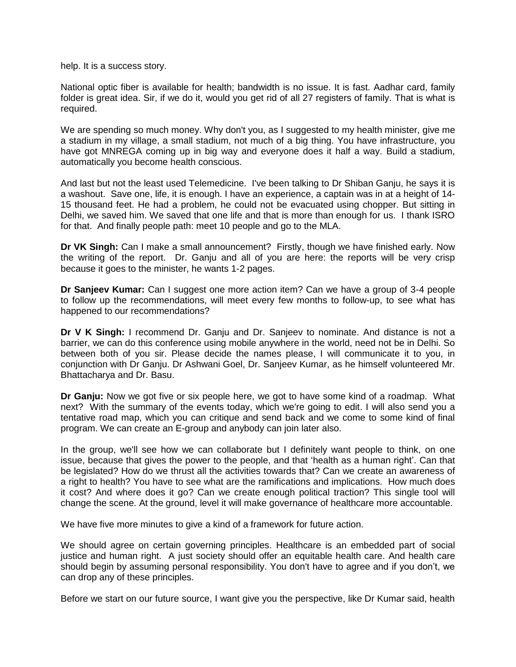help. It is a success story.

National optic fiber is available for health; bandwidth is no issue. It is fast. Aadhar card, family folder is great idea. Sir, if we do it, would you get rid of all 27 registers of family. That is what is required.

We are spending so much money. Why don't you, as I suggested to my health minister, give me a stadium in my village, a small stadium, not much of a big thing. You have infrastructure, you have got MNREGA coming up in big way and everyone does it half a way. Build a stadium, automatically you become health conscious.

And last but not the least used Telemedicine. I've been talking to Dr Shiban Ganju, he says it is a washout. Save one, life, it is enough. I have an experience, a captain was in at a height of 14- 15 thousand feet. He had a problem, he could not be evacuated using chopper. But sitting in Delhi, we saved him. We saved that one life and that is more than enough for us. I thank ISRO for that. And finally people path: meet 10 people and go to the MLA.

**Dr VK Singh:** Can I make a small announcement? Firstly, though we have finished early. Now the writing of the report. Dr. Ganju and all of you are here: the reports will be very crisp because it goes to the minister, he wants 1-2 pages.

**Dr Sanjeev Kumar:** Can I suggest one more action item? Can we have a group of 3-4 people to follow up the recommendations, will meet every few months to follow-up, to see what has happened to our recommendations?

**Dr V K Singh:** I recommend Dr. Ganju and Dr. Sanjeev to nominate. And distance is not a barrier, we can do this conference using mobile anywhere in the world, need not be in Delhi. So between both of you sir. Please decide the names please, I will communicate it to you, in conjunction with Dr Ganju. Dr Ashwani Goel, Dr. Sanjeev Kumar, as he himself volunteered Mr. Bhattacharya and Dr. Basu.

**Dr Ganju:** Now we got five or six people here, we got to have some kind of a roadmap. What next? With the summary of the events today, which we're going to edit. I will also send you a tentative road map, which you can critique and send back and we come to some kind of final program. We can create an E-group and anybody can join later also.

In the group, we'll see how we can collaborate but I definitely want people to think, on one issue, because that gives the power to the people, and that 'health as a human right'. Can that be legislated? How do we thrust all the activities towards that? Can we create an awareness of a right to health? You have to see what are the ramifications and implications. How much does it cost? And where does it go? Can we create enough political traction? This single tool will change the scene. At the ground, level it will make governance of healthcare more accountable.

We have five more minutes to give a kind of a framework for future action.

We should agree on certain governing principles. Healthcare is an embedded part of social justice and human right. A just society should offer an equitable health care. And health care should begin by assuming personal responsibility. You don't have to agree and if you don't, we can drop any of these principles.

Before we start on our future source, I want give you the perspective, like Dr Kumar said, health